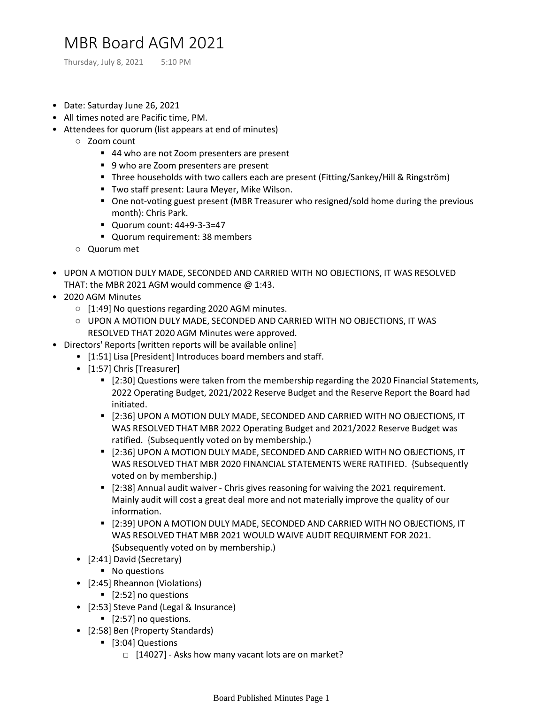## MBR Board AGM 2021

Thursday, July 8, 2021 5:10 PM

- Date: Saturday June 26, 2021
- All times noted are Pacific time, PM.
- Attendees for quorum (list appears at end of minutes)
	- Zoom count
		- 44 who are not Zoom presenters are present
		- 9 who are Zoom presenters are present
		- Three households with two callers each are present (Fitting/Sankey/Hill & Ringström)
		- Two staff present: Laura Mever, Mike Wilson.
		- One not-voting guest present (MBR Treasurer who resigned/sold home during the previous month): Chris Park.
		- Quorum count: 44+9-3-3=47
		- Quorum requirement: 38 members
	- Quorum met
- UPON A MOTION DULY MADE, SECONDED AND CARRIED WITH NO OBJECTIONS, IT WAS RESOLVED THAT: the MBR 2021 AGM would commence @ 1:43.
- 2020 AGM Minutes
	- [1:49] No questions regarding 2020 AGM minutes.
	- UPON A MOTION DULY MADE, SECONDED AND CARRIED WITH NO OBJECTIONS, IT WAS RESOLVED THAT 2020 AGM Minutes were approved.
- Directors' Reports [written reports will be available online]
	- [1:51] Lisa [President] Introduces board members and staff.
	- [1:57] Chris [Treasurer]
		- [2:30] Questions were taken from the membership regarding the 2020 Financial Statements, 2022 Operating Budget, 2021/2022 Reserve Budget and the Reserve Report the Board had initiated.
		- [2:36] UPON A MOTION DULY MADE, SECONDED AND CARRIED WITH NO OBJECTIONS, IT WAS RESOLVED THAT MBR 2022 Operating Budget and 2021/2022 Reserve Budget was ratified. {Subsequently voted on by membership.)
		- [2:36] UPON A MOTION DULY MADE, SECONDED AND CARRIED WITH NO OBJECTIONS, IT WAS RESOLVED THAT MBR 2020 FINANCIAL STATEMENTS WERE RATIFIED. {Subsequently voted on by membership.)
		- [2:38] Annual audit waiver Chris gives reasoning for waiving the 2021 requirement. Mainly audit will cost a great deal more and not materially improve the quality of our information.
		- [2:39] UPON A MOTION DULY MADE, SECONDED AND CARRIED WITH NO OBJECTIONS, IT WAS RESOLVED THAT MBR 2021 WOULD WAIVE AUDIT REQUIRMENT FOR 2021. {Subsequently voted on by membership.)
	- [2:41] David (Secretary)
		- No questions
	- [2:45] Rheannon (Violations)
		- [2:52] no questions
	- [2:53] Steve Pand (Legal & Insurance)
		- [2:57] no questions.
	- [2:58] Ben (Property Standards)
		- [3:04] Questions
			- $\Box$  [14027] Asks how many vacant lots are on market?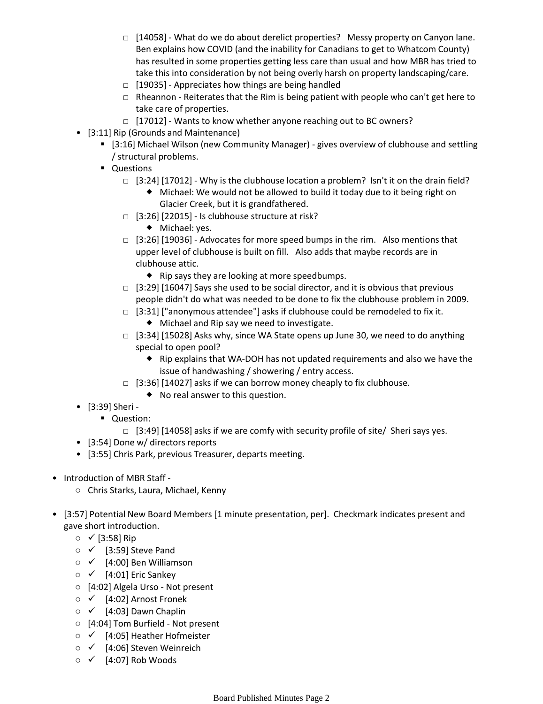- □ [14058] What do we do about derelict properties? Messy property on Canyon lane. Ben explains how COVID (and the inability for Canadians to get to Whatcom County) has resulted in some properties getting less care than usual and how MBR has tried to take this into consideration by not being overly harsh on property landscaping/care.
- $\Box$  [19035] Appreciates how things are being handled
- $\Box$  Rheannon Reiterates that the Rim is being patient with people who can't get here to take care of properties.
- □ [17012] Wants to know whether anyone reaching out to BC owners?
- [3:11] Rip (Grounds and Maintenance)
	- [3:16] Michael Wilson (new Community Manager) gives overview of clubhouse and settling / structural problems.
	- Questions
		- □ [3:24] [17012] Why is the clubhouse location a problem? Isn't it on the drain field?
			- Michael: We would not be allowed to build it today due to it being right on Glacier Creek, but it is grandfathered.
		- □ [3:26] [22015] Is clubhouse structure at risk?
			- ◆ Michael: yes.
		- □ [3:26] [19036] Advocates for more speed bumps in the rim. Also mentions that upper level of clubhouse is built on fill. Also adds that maybe records are in clubhouse attic.
			- $\bullet$  Rip says they are looking at more speedbumps.
		- $\Box$  [3:29] [16047] Says she used to be social director, and it is obvious that previous people didn't do what was needed to be done to fix the clubhouse problem in 2009.
		- $\Box$   $[3:31]$  ["anonymous attendee"] asks if clubhouse could be remodeled to fix it.
			- Michael and Rip say we need to investigate.
		- $\Box$  [3:34] [15028] Asks why, since WA State opens up June 30, we need to do anything special to open pool?
			- Rip explains that WA-DOH has not updated requirements and also we have the issue of handwashing / showering / entry access.
		- $\Box$   $[3:36]$   $[14027]$  asks if we can borrow money cheaply to fix clubhouse.
			- No real answer to this question.
- [3:39] Sheri -
	- Question:
		- $\Box$  [3:49] [14058] asks if we are comfy with security profile of site/ Sheri says yes.
- [3:54] Done w/ directors reports
- [3:55] Chris Park, previous Treasurer, departs meeting.
- Introduction of MBR Staff -
	- Chris Starks, Laura, Michael, Kenny
- [3:57] Potential New Board Members [1 minute presentation, per]. Checkmark indicates present and gave short introduction.
	- ✓ [3:58] Rip
	- ✓ [3:59] Steve Pand
	- ✓ [4:00] Ben Williamson
	- $\circ \checkmark$  [4:01] Eric Sankey
	- [4:02] Algela Urso Not present
	- ✓ [4:02] Arnost Fronek
	- $\circ \checkmark$  [4:03] Dawn Chaplin
	- [4:04] Tom Burfield Not present
	- ✓ [4:05] Heather Hofmeister
	- ✓ [4:06] Steven Weinreich
	- $\circ \checkmark$  [4:07] Rob Woods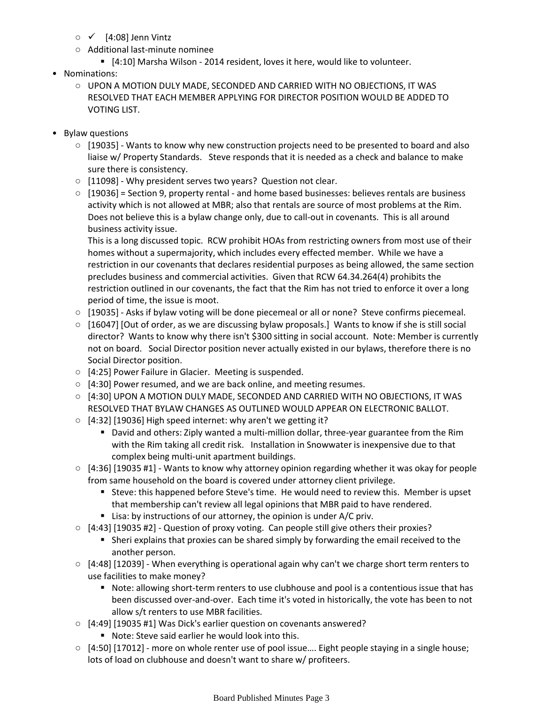- $\circ \checkmark$  [4:08] Jenn Vintz
- Additional last-minute nominee
	- [4:10] Marsha Wilson 2014 resident, loves it here, would like to volunteer.
- Nominations:
	- UPON A MOTION DULY MADE, SECONDED AND CARRIED WITH NO OBJECTIONS, IT WAS RESOLVED THAT EACH MEMBER APPLYING FOR DIRECTOR POSITION WOULD BE ADDED TO VOTING LIST.
- Bylaw questions
	- [19035] Wants to know why new construction projects need to be presented to board and also liaise w/ Property Standards. Steve responds that it is needed as a check and balance to make sure there is consistency.
	- [11098] Why president serves two years? Question not clear.
	- [19036] = Section 9, property rental and home based businesses: believes rentals are business activity which is not allowed at MBR; also that rentals are source of most problems at the Rim. Does not believe this is a bylaw change only, due to call-out in covenants. This is all around business activity issue.

This is a long discussed topic. RCW prohibit HOAs from restricting owners from most use of their homes without a supermajority, which includes every effected member. While we have a restriction in our covenants that declares residential purposes as being allowed, the same section precludes business and commercial activities. Given that RCW 64.34.264(4) prohibits the restriction outlined in our covenants, the fact that the Rim has not tried to enforce it over a long period of time, the issue is moot.

- [19035] Asks if bylaw voting will be done piecemeal or all or none? Steve confirms piecemeal.
- [16047] [Out of order, as we are discussing bylaw proposals.] Wants to know if she is still social director? Wants to know why there isn't \$300 sitting in social account. Note: Member is currently not on board. Social Director position never actually existed in our bylaws, therefore there is no Social Director position.
- [4:25] Power Failure in Glacier. Meeting is suspended.
- [4:30] Power resumed, and we are back online, and meeting resumes.
- $\circ$  [4:30] UPON A MOTION DULY MADE, SECONDED AND CARRIED WITH NO OBJECTIONS, IT WAS RESOLVED THAT BYLAW CHANGES AS OUTLINED WOULD APPEAR ON ELECTRONIC BALLOT.
- $\circ$  [4:32] [19036] High speed internet: why aren't we getting it?
	- David and others: Ziply wanted a multi-million dollar, three-year guarantee from the Rim with the Rim taking all credit risk. Installation in Snowwater is inexpensive due to that complex being multi-unit apartment buildings.
- [4:36] [19035 #1] Wants to know why attorney opinion regarding whether it was okay for people from same household on the board is covered under attorney client privilege.
	- Steve: this happened before Steve's time. He would need to review this. Member is upset that membership can't review all legal opinions that MBR paid to have rendered.
	- Lisa: by instructions of our attorney, the opinion is under A/C priv.
- [4:43] [19035 #2] Question of proxy voting. Can people still give others their proxies?
	- Sheri explains that proxies can be shared simply by forwarding the email received to the another person.
- [4:48] [12039] When everything is operational again why can't we charge short term renters to use facilities to make money?
	- Note: allowing short-term renters to use clubhouse and pool is a contentious issue that has been discussed over-and-over. Each time it's voted in historically, the vote has been to not allow s/t renters to use MBR facilities.
- [4:49] [19035 #1] Was Dick's earlier question on covenants answered?
	- Note: Steve said earlier he would look into this.
- [4:50] [17012] more on whole renter use of pool issue.... Eight people staying in a single house; lots of load on clubhouse and doesn't want to share w/ profiteers.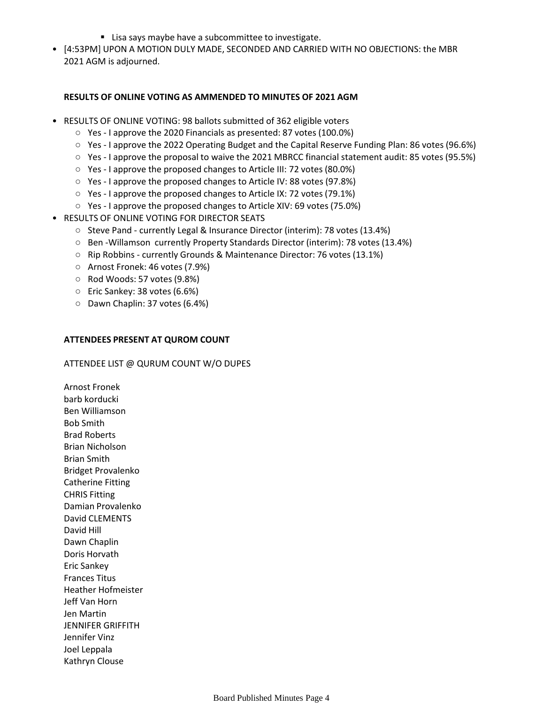- Lisa says maybe have a subcommittee to investigate.
- [4:53PM] UPON A MOTION DULY MADE, SECONDED AND CARRIED WITH NO OBJECTIONS: the MBR 2021 AGM is adjourned.

## **RESULTS OF ONLINE VOTING AS AMMENDED TO MINUTES OF 2021 AGM**

- RESULTS OF ONLINE VOTING: 98 ballots submitted of 362 eligible voters
	- Yes I approve the 2020 Financials as presented: 87 votes (100.0%)
	- Yes I approve the 2022 Operating Budget and the Capital Reserve Funding Plan: 86 votes (96.6%)
	- Yes I approve the proposal to waive the 2021 MBRCC financial statement audit: 85 votes (95.5%)
	- Yes I approve the proposed changes to Article III: 72 votes (80.0%)
	- Yes I approve the proposed changes to Article IV: 88 votes (97.8%)
	- Yes I approve the proposed changes to Article IX: 72 votes (79.1%)
	- Yes I approve the proposed changes to Article XIV: 69 votes (75.0%)
- RESULTS OF ONLINE VOTING FOR DIRECTOR SEATS
	- Steve Pand currently Legal & Insurance Director (interim): 78 votes (13.4%)
	- Ben -Willamson currently Property Standards Director (interim): 78 votes (13.4%)
	- Rip Robbins currently Grounds & Maintenance Director: 76 votes (13.1%)
	- Arnost Fronek: 46 votes (7.9%)
	- Rod Woods: 57 votes (9.8%)
	- Eric Sankey: 38 votes (6.6%)
	- Dawn Chaplin: 37 votes (6.4%)

## **ATTENDEES PRESENT AT QUROM COUNT**

## ATTENDEE LIST @ QURUM COUNT W/O DUPES

Arnost Fronek barb korducki Ben Williamson Bob Smith Brad Roberts Brian Nicholson Brian Smith Bridget Provalenko Catherine Fitting CHRIS Fitting Damian Provalenko David CLEMENTS David Hill Dawn Chaplin Doris Horvath Eric Sankey Frances Titus Heather Hofmeister Jeff Van Horn Jen Martin JENNIFER GRIFFITH Jennifer Vinz Joel Leppala Kathryn Clouse